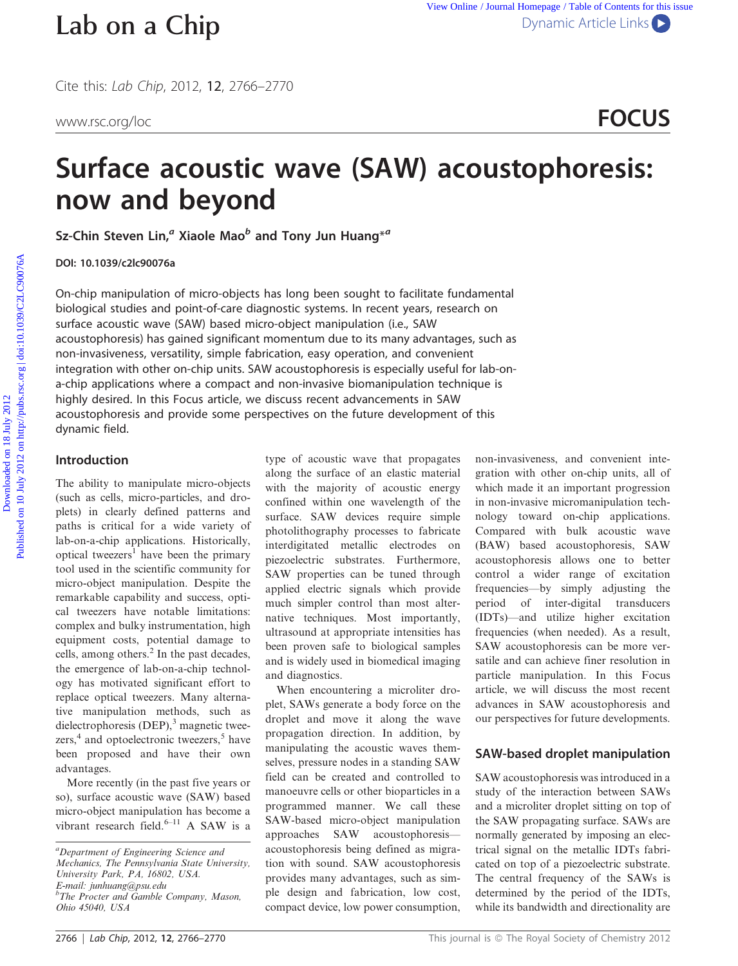Cite this: Lab Chip, 2012, 12, 2766–2770

# Surface acoustic wave (SAW) acoustophoresis: now and beyond

Sz-Chin Steven Lin,<sup>a</sup> Xiaole Mao<sup>b</sup> and Tony Jun Huang $^{\ast}{}^{a}$ 

DOI: 10.1039/c2lc90076a

On-chip manipulation of micro-objects has long been sought to facilitate fundamental biological studies and point-of-care diagnostic systems. In recent years, research on surface acoustic wave (SAW) based micro-object manipulation (i.e., SAW acoustophoresis) has gained significant momentum due to its many advantages, such as non-invasiveness, versatility, simple fabrication, easy operation, and convenient integration with other on-chip units. SAW acoustophoresis is especially useful for lab-ona-chip applications where a compact and non-invasive biomanipulation technique is highly desired. In this Focus article, we discuss recent advancements in SAW acoustophoresis and provide some perspectives on the future development of this dynamic field. Lab on a Chip<br>
Cite this *tab* Chip, 2012, 12, 2766–2770<br>
www.sc.org/loc<br>
Surface acoustic wave (SAW) acoustophoresis:<br>
DOW and beyond<br>
Sc-Chin Seven line<sup>,</sup> Xiaole Mao<sup>2</sup> and Tony Jun Huang<sup>16</sup><br>
Don't altigrate in the st

## Introduction

The ability to manipulate micro-objects (such as cells, micro-particles, and droplets) in clearly defined patterns and paths is critical for a wide variety of lab-on-a-chip applications. Historically, optical tweezers<sup>1</sup> have been the primary tool used in the scientific community for micro-object manipulation. Despite the remarkable capability and success, optical tweezers have notable limitations: complex and bulky instrumentation, high equipment costs, potential damage to cells, among others.<sup>2</sup> In the past decades, the emergence of lab-on-a-chip technology has motivated significant effort to replace optical tweezers. Many alternative manipulation methods, such as dielectrophoresis (DEP), $3$  magnetic tweezers, $4$  and optoelectronic tweezers, $5$  have been proposed and have their own advantages.

More recently (in the past five years or so), surface acoustic wave (SAW) based micro-object manipulation has become a vibrant research field. $6-11$  A SAW is a type of acoustic wave that propagates along the surface of an elastic material with the majority of acoustic energy confined within one wavelength of the surface. SAW devices require simple photolithography processes to fabricate interdigitated metallic electrodes on piezoelectric substrates. Furthermore, SAW properties can be tuned through applied electric signals which provide much simpler control than most alternative techniques. Most importantly, ultrasound at appropriate intensities has been proven safe to biological samples and is widely used in biomedical imaging and diagnostics.

When encountering a microliter droplet, SAWs generate a body force on the droplet and move it along the wave propagation direction. In addition, by manipulating the acoustic waves themselves, pressure nodes in a standing SAW field can be created and controlled to manoeuvre cells or other bioparticles in a programmed manner. We call these SAW-based micro-object manipulation approaches SAW acoustophoresis acoustophoresis being defined as migration with sound. SAW acoustophoresis provides many advantages, such as simple design and fabrication, low cost, compact device, low power consumption, non-invasiveness, and convenient integration with other on-chip units, all of which made it an important progression in non-invasive micromanipulation technology toward on-chip applications. Compared with bulk acoustic wave (BAW) based acoustophoresis, SAW acoustophoresis allows one to better control a wider range of excitation frequencies—by simply adjusting the period of inter-digital transducers (IDTs)—and utilize higher excitation frequencies (when needed). As a result, SAW acoustophoresis can be more versatile and can achieve finer resolution in particle manipulation. In this Focus article, we will discuss the most recent advances in SAW acoustophoresis and our perspectives for future developments.

# SAW-based droplet manipulation

SAW acoustophoresis was introduced in a study of the interaction between SAWs and a microliter droplet sitting on top of the SAW propagating surface. SAWs are normally generated by imposing an electrical signal on the metallic IDTs fabricated on top of a piezoelectric substrate. The central frequency of the SAWs is determined by the period of the IDTs, while its bandwidth and directionality are

<sup>&</sup>lt;sup>a</sup>Department of Engineering Science and Mechanics, The Pennsylvania State University, University Park, PA, 16802, USA.

E-mail: junhuang@psu.edu

<sup>&</sup>lt;sup>b</sup>The Procter and Gamble Company, Mason, Ohio 45040, USA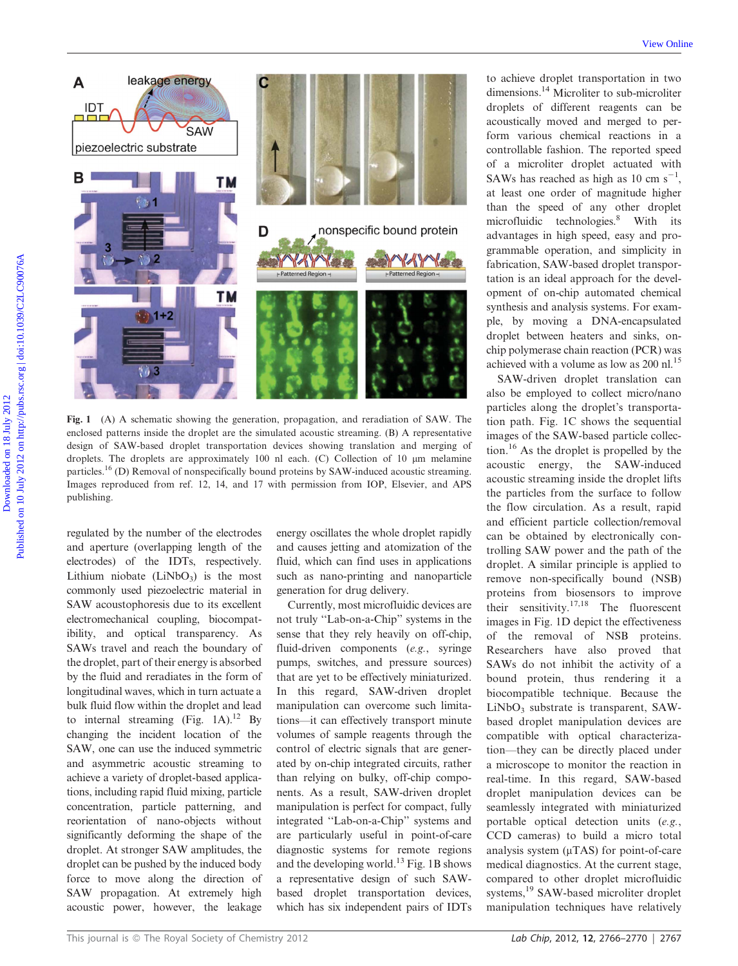

Fig. 1 (A) A schematic showing the generation, propagation, and reradiation of SAW. The enclosed patterns inside the droplet are the simulated acoustic streaming. (B) A representative design of SAW-based droplet transportation devices showing translation and merging of droplets. The droplets are approximately  $100$  nl each. (C) Collection of  $10 \mu m$  melamine particles.<sup>16</sup> (D) Removal of nonspecifically bound proteins by SAW-induced acoustic streaming. Images reproduced from ref. 12, 14, and 17 with permission from IOP, Elsevier, and APS publishing.

regulated by the number of the electrodes and aperture (overlapping length of the electrodes) of the IDTs, respectively. Lithium niobate  $(LiNbO<sub>3</sub>)$  is the most commonly used piezoelectric material in SAW acoustophoresis due to its excellent electromechanical coupling, biocompatibility, and optical transparency. As SAWs travel and reach the boundary of the droplet, part of their energy is absorbed by the fluid and reradiates in the form of longitudinal waves, which in turn actuate a bulk fluid flow within the droplet and lead to internal streaming  $(Fig. 1A).<sup>12</sup>$  By changing the incident location of the SAW, one can use the induced symmetric and asymmetric acoustic streaming to achieve a variety of droplet-based applications, including rapid fluid mixing, particle concentration, particle patterning, and reorientation of nano-objects without significantly deforming the shape of the droplet. At stronger SAW amplitudes, the droplet can be pushed by the induced body force to move along the direction of SAW propagation. At extremely high acoustic power, however, the leakage

energy oscillates the whole droplet rapidly and causes jetting and atomization of the fluid, which can find uses in applications such as nano-printing and nanoparticle generation for drug delivery.

Currently, most microfluidic devices are not truly ''Lab-on-a-Chip'' systems in the sense that they rely heavily on off-chip, fluid-driven components (e.g., syringe pumps, switches, and pressure sources) that are yet to be effectively miniaturized. In this regard, SAW-driven droplet manipulation can overcome such limitations—it can effectively transport minute volumes of sample reagents through the control of electric signals that are generated by on-chip integrated circuits, rather than relying on bulky, off-chip components. As a result, SAW-driven droplet manipulation is perfect for compact, fully integrated ''Lab-on-a-Chip'' systems and are particularly useful in point-of-care diagnostic systems for remote regions and the developing world.<sup>13</sup> Fig. 1B shows a representative design of such SAWbased droplet transportation devices, which has six independent pairs of IDTs to achieve droplet transportation in two dimensions.<sup>14</sup> Microliter to sub-microliter droplets of different reagents can be acoustically moved and merged to perform various chemical reactions in a controllable fashion. The reported speed of a microliter droplet actuated with SAWs has reached as high as 10 cm  $s^{-1}$ , at least one order of magnitude higher than the speed of any other droplet microfluidic technologies.8 With its advantages in high speed, easy and programmable operation, and simplicity in fabrication, SAW-based droplet transportation is an ideal approach for the development of on-chip automated chemical synthesis and analysis systems. For example, by moving a DNA-encapsulated droplet between heaters and sinks, onchip polymerase chain reaction (PCR) was achieved with a volume as low as  $200$  nl.<sup>15</sup>

SAW-driven droplet translation can also be employed to collect micro/nano particles along the droplet's transportation path. Fig. 1C shows the sequential images of the SAW-based particle collection.<sup>16</sup> As the droplet is propelled by the acoustic energy, the SAW-induced acoustic streaming inside the droplet lifts the particles from the surface to follow the flow circulation. As a result, rapid and efficient particle collection/removal can be obtained by electronically controlling SAW power and the path of the droplet. A similar principle is applied to remove non-specifically bound (NSB) proteins from biosensors to improve their sensitivity.<sup>17,18</sup> The fluorescent images in Fig. 1D depict the effectiveness of the removal of NSB proteins. Researchers have also proved that SAWs do not inhibit the activity of a bound protein, thus rendering it a biocompatible technique. Because the  $LiNbO<sub>3</sub>$  substrate is transparent, SAWbased droplet manipulation devices are compatible with optical characterization—they can be directly placed under a microscope to monitor the reaction in real-time. In this regard, SAW-based droplet manipulation devices can be seamlessly integrated with miniaturized portable optical detection units (e.g., CCD cameras) to build a micro total analysis system  $(\mu$ TAS) for point-of-care medical diagnostics. At the current stage, compared to other droplet microfluidic systems,<sup>19</sup> SAW-based microliter droplet manipulation techniques have relatively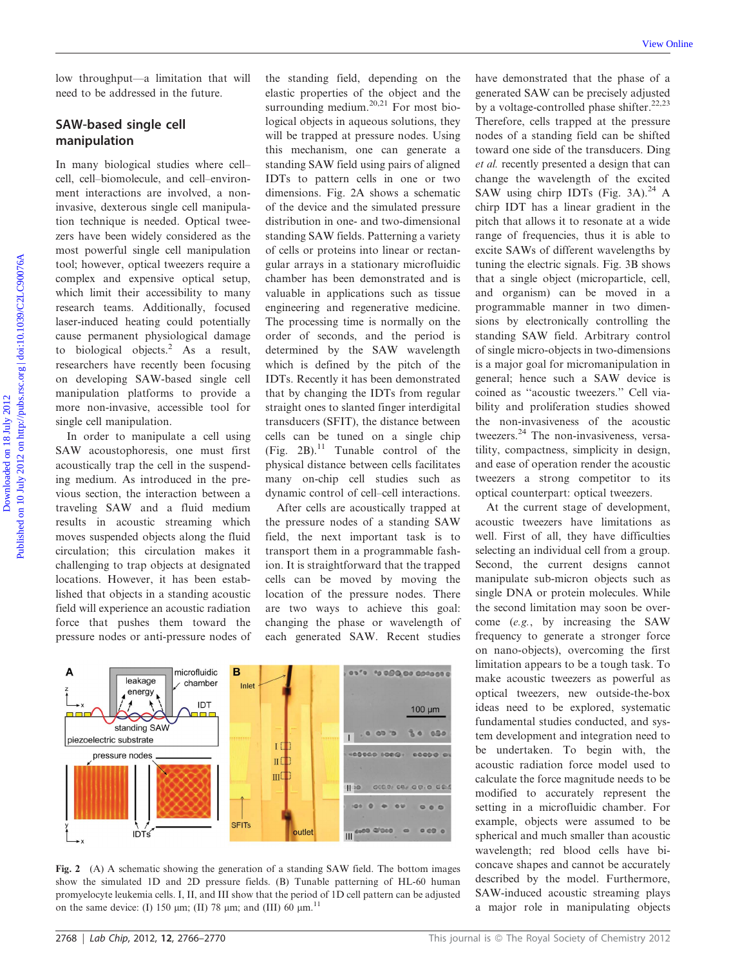low throughput—a limitation that will need to be addressed in the future.

# SAW-based single cell manipulation

In many biological studies where cell– cell, cell–biomolecule, and cell–environment interactions are involved, a noninvasive, dexterous single cell manipulation technique is needed. Optical tweezers have been widely considered as the most powerful single cell manipulation tool; however, optical tweezers require a complex and expensive optical setup, which limit their accessibility to many research teams. Additionally, focused laser-induced heating could potentially cause permanent physiological damage to biological objects. $2$  As a result, researchers have recently been focusing on developing SAW-based single cell manipulation platforms to provide a more non-invasive, accessible tool for single cell manipulation.

In order to manipulate a cell using SAW acoustophoresis, one must first acoustically trap the cell in the suspending medium. As introduced in the previous section, the interaction between a traveling SAW and a fluid medium results in acoustic streaming which moves suspended objects along the fluid circulation; this circulation makes it challenging to trap objects at designated locations. However, it has been established that objects in a standing acoustic field will experience an acoustic radiation force that pushes them toward the pressure nodes or anti-pressure nodes of

the standing field, depending on the elastic properties of the object and the surrounding medium. $^{20,21}$  For most biological objects in aqueous solutions, they will be trapped at pressure nodes. Using this mechanism, one can generate a standing SAW field using pairs of aligned IDTs to pattern cells in one or two dimensions. Fig. 2A shows a schematic of the device and the simulated pressure distribution in one- and two-dimensional standing SAW fields. Patterning a variety of cells or proteins into linear or rectangular arrays in a stationary microfluidic chamber has been demonstrated and is valuable in applications such as tissue engineering and regenerative medicine. The processing time is normally on the order of seconds, and the period is determined by the SAW wavelength which is defined by the pitch of the IDTs. Recently it has been demonstrated that by changing the IDTs from regular straight ones to slanted finger interdigital transducers (SFIT), the distance between cells can be tuned on a single chip  $(Fig. 2B).$ <sup>11</sup> Tunable control of the physical distance between cells facilitates many on-chip cell studies such as dynamic control of cell–cell interactions. Dow throughput—a limitation that will the standing field, depending on the have demonstrated that the phase and the decomposition of the standing maturing maturing maturing maturing maturing maturing maturing maturing matu

After cells are acoustically trapped at the pressure nodes of a standing SAW field, the next important task is to transport them in a programmable fashion. It is straightforward that the trapped cells can be moved by moving the location of the pressure nodes. There are two ways to achieve this goal: changing the phase or wavelength of each generated SAW. Recent studies



Fig. 2 (A) A schematic showing the generation of a standing SAW field. The bottom images show the simulated 1D and 2D pressure fields. (B) Tunable patterning of HL-60 human promyelocyte leukemia cells. I, II, and III show that the period of 1D cell pattern can be adjusted on the same device: (I) 150  $\mu$ m; (II) 78  $\mu$ m; and (III) 60  $\mu$ m.<sup>11</sup>

have demonstrated that the phase of a generated SAW can be precisely adjusted by a voltage-controlled phase shifter.<sup>22,23</sup> Therefore, cells trapped at the pressure nodes of a standing field can be shifted toward one side of the transducers. Ding et al. recently presented a design that can change the wavelength of the excited SAW using chirp IDTs (Fig. 3A).<sup>24</sup> A chirp IDT has a linear gradient in the pitch that allows it to resonate at a wide range of frequencies, thus it is able to excite SAWs of different wavelengths by tuning the electric signals. Fig. 3B shows that a single object (microparticle, cell, and organism) can be moved in a programmable manner in two dimensions by electronically controlling the standing SAW field. Arbitrary control of single micro-objects in two-dimensions is a major goal for micromanipulation in general; hence such a SAW device is coined as ''acoustic tweezers.'' Cell viability and proliferation studies showed the non-invasiveness of the acoustic tweezers.24 The non-invasiveness, versatility, compactness, simplicity in design, and ease of operation render the acoustic tweezers a strong competitor to its optical counterpart: optical tweezers.

At the current stage of development, acoustic tweezers have limitations as well. First of all, they have difficulties selecting an individual cell from a group. Second, the current designs cannot manipulate sub-micron objects such as single DNA or protein molecules. While the second limitation may soon be overcome (e.g., by increasing the SAW frequency to generate a stronger force on nano-objects), overcoming the first limitation appears to be a tough task. To make acoustic tweezers as powerful as optical tweezers, new outside-the-box ideas need to be explored, systematic fundamental studies conducted, and system development and integration need to be undertaken. To begin with, the acoustic radiation force model used to calculate the force magnitude needs to be modified to accurately represent the setting in a microfluidic chamber. For example, objects were assumed to be spherical and much smaller than acoustic wavelength; red blood cells have biconcave shapes and cannot be accurately described by the model. Furthermore, SAW-induced acoustic streaming plays a major role in manipulating objects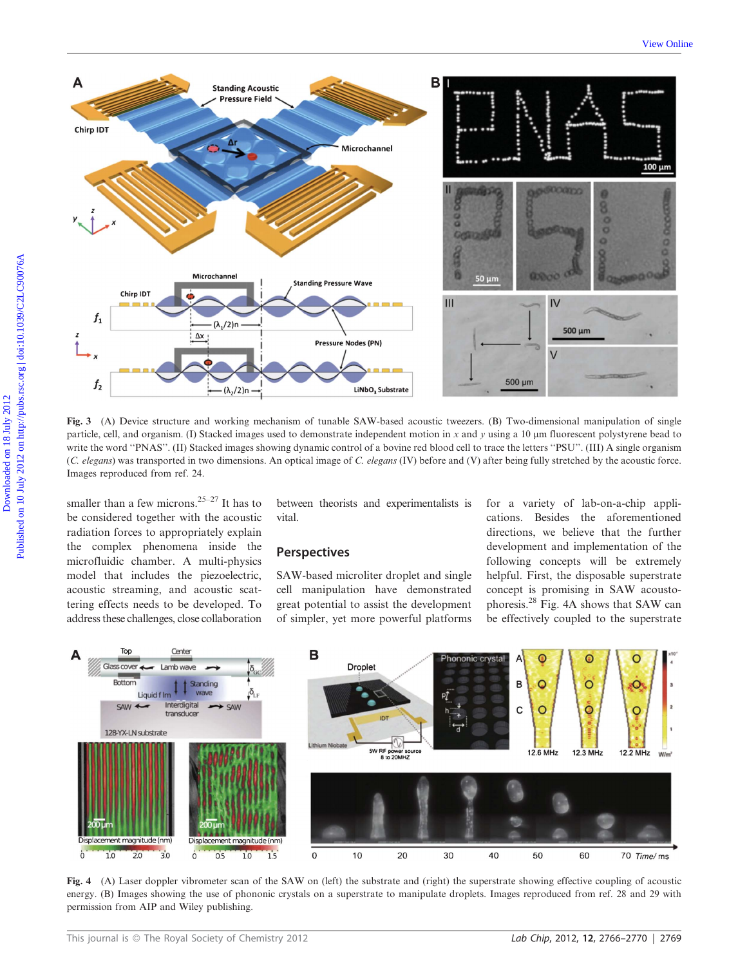

Fig. 3 (A) Device structure and working mechanism of tunable SAW-based acoustic tweezers. (B) Two-dimensional manipulation of single particle, cell, and organism. (I) Stacked images used to demonstrate independent motion in x and y using a 10  $\mu$ m fluorescent polystyrene bead to write the word ''PNAS''. (II) Stacked images showing dynamic control of a bovine red blood cell to trace the letters ''PSU''. (III) A single organism (C. elegans) was transported in two dimensions. An optical image of C. elegans (IV) before and (V) after being fully stretched by the acoustic force. Images reproduced from ref. 24.

smaller than a few microns.<sup>25–27</sup> It has to be considered together with the acoustic radiation forces to appropriately explain the complex phenomena inside the microfluidic chamber. A multi-physics model that includes the piezoelectric, acoustic streaming, and acoustic scattering effects needs to be developed. To address these challenges, close collaboration

between theorists and experimentalists is vital.

## Perspectives

SAW-based microliter droplet and single cell manipulation have demonstrated great potential to assist the development of simpler, yet more powerful platforms for a variety of lab-on-a-chip applications. Besides the aforementioned directions, we believe that the further development and implementation of the following concepts will be extremely helpful. First, the disposable superstrate concept is promising in SAW acoustophoresis.28 Fig. 4A shows that SAW can be effectively coupled to the superstrate



Fig. 4 (A) Laser doppler vibrometer scan of the SAW on (left) the substrate and (right) the superstrate showing effective coupling of acoustic energy. (B) Images showing the use of phononic crystals on a superstrate to manipulate droplets. Images reproduced from ref. 28 and 29 with permission from AIP and Wiley publishing.